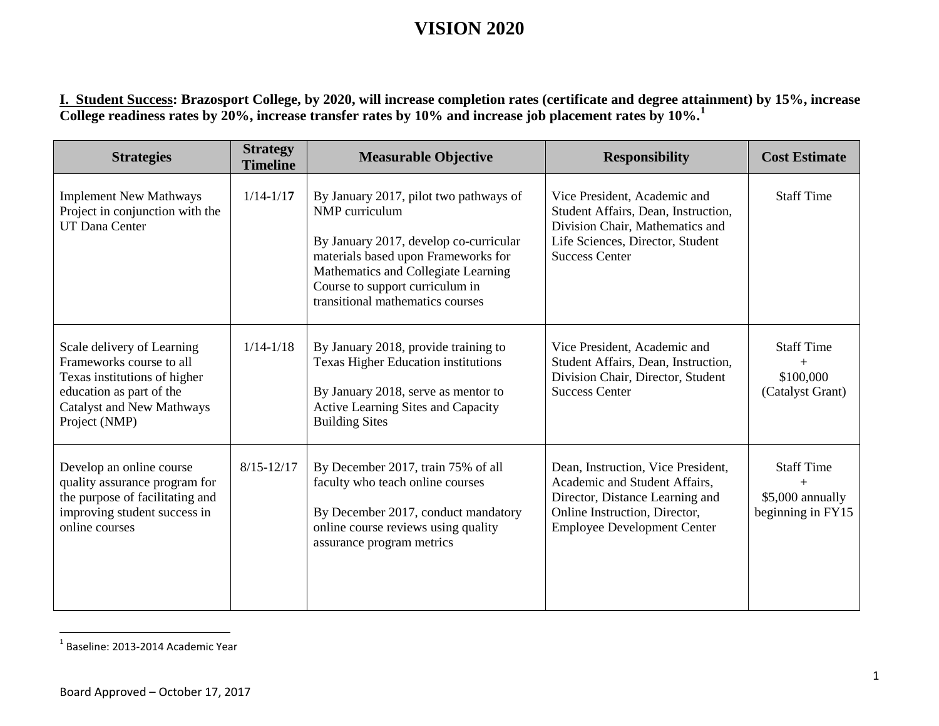<span id="page-0-0"></span>**I. Student Success: Brazosport College, by 2020, will increase completion rates (certificate and degree attainment) by 15%, increase College readiness rates by 20%, increase transfer rates by 10% and increase job placement rates by 10%.[1](#page-0-0)**

| <b>Strategies</b>                                                                                                                                                       | <b>Strategy</b><br><b>Timeline</b> | <b>Measurable Objective</b>                                                                                                                                                                                                                             | <b>Responsibility</b>                                                                                                                                                         | <b>Cost Estimate</b>                                       |
|-------------------------------------------------------------------------------------------------------------------------------------------------------------------------|------------------------------------|---------------------------------------------------------------------------------------------------------------------------------------------------------------------------------------------------------------------------------------------------------|-------------------------------------------------------------------------------------------------------------------------------------------------------------------------------|------------------------------------------------------------|
| <b>Implement New Mathways</b><br>Project in conjunction with the<br><b>UT Dana Center</b>                                                                               | $1/14 - 1/17$                      | By January 2017, pilot two pathways of<br>NMP curriculum<br>By January 2017, develop co-curricular<br>materials based upon Frameworks for<br>Mathematics and Collegiate Learning<br>Course to support curriculum in<br>transitional mathematics courses | Vice President, Academic and<br>Student Affairs, Dean, Instruction,<br>Division Chair, Mathematics and<br>Life Sciences, Director, Student<br><b>Success Center</b>           | <b>Staff Time</b>                                          |
| Scale delivery of Learning<br>Frameworks course to all<br>Texas institutions of higher<br>education as part of the<br><b>Catalyst and New Mathways</b><br>Project (NMP) | $1/14 - 1/18$                      | By January 2018, provide training to<br><b>Texas Higher Education institutions</b><br>By January 2018, serve as mentor to<br>Active Learning Sites and Capacity<br><b>Building Sites</b>                                                                | Vice President, Academic and<br>Student Affairs, Dean, Instruction,<br>Division Chair, Director, Student<br><b>Success Center</b>                                             | <b>Staff Time</b><br>$+$<br>\$100,000<br>(Catalyst Grant)  |
| Develop an online course<br>quality assurance program for<br>the purpose of facilitating and<br>improving student success in<br>online courses                          | $8/15 - 12/17$                     | By December 2017, train 75% of all<br>faculty who teach online courses<br>By December 2017, conduct mandatory<br>online course reviews using quality<br>assurance program metrics                                                                       | Dean, Instruction, Vice President,<br>Academic and Student Affairs,<br>Director, Distance Learning and<br>Online Instruction, Director,<br><b>Employee Development Center</b> | <b>Staff Time</b><br>\$5,000 annually<br>beginning in FY15 |

 <sup>1</sup> Baseline: 2013-2014 Academic Year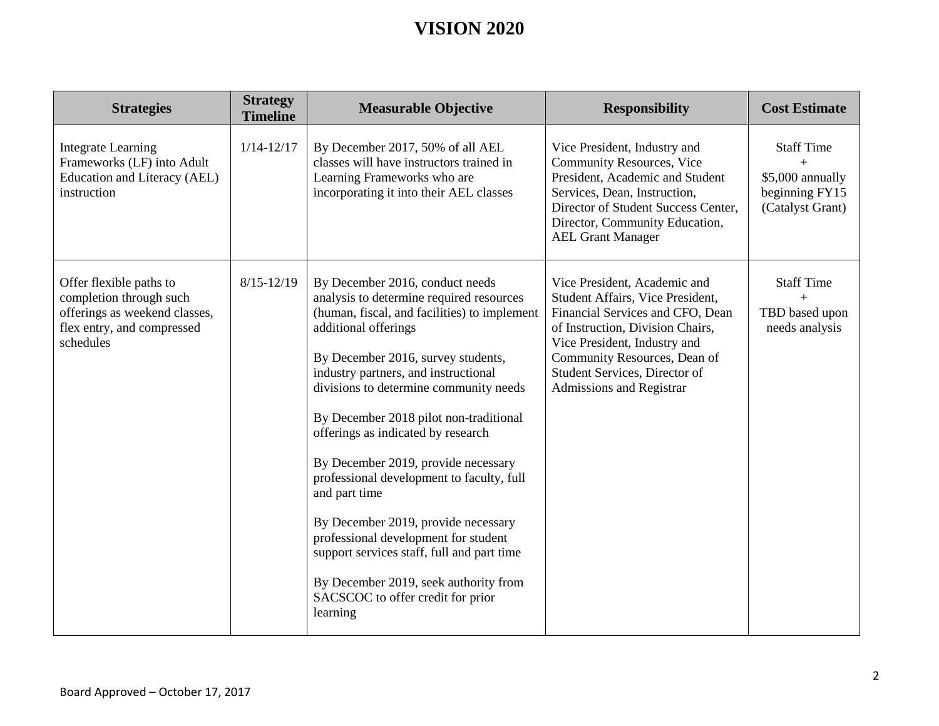| <b>Strategies</b>                                                                                                              | <b>Strategy</b><br><b>Timeline</b> | <b>Measurable Objective</b>                                                                                                                                                                                                                                                                                                                                                                                                                                                                                                                                                                                                                                                             | <b>Responsibility</b>                                                                                                                                                                                                                                                 | <b>Cost Estimate</b>                                                               |
|--------------------------------------------------------------------------------------------------------------------------------|------------------------------------|-----------------------------------------------------------------------------------------------------------------------------------------------------------------------------------------------------------------------------------------------------------------------------------------------------------------------------------------------------------------------------------------------------------------------------------------------------------------------------------------------------------------------------------------------------------------------------------------------------------------------------------------------------------------------------------------|-----------------------------------------------------------------------------------------------------------------------------------------------------------------------------------------------------------------------------------------------------------------------|------------------------------------------------------------------------------------|
| <b>Integrate Learning</b><br>Frameworks (LF) into Adult<br>Education and Literacy (AEL)<br>instruction                         | $1/14 - 12/17$                     | By December 2017, 50% of all AEL<br>classes will have instructors trained in<br>Learning Frameworks who are<br>incorporating it into their AEL classes                                                                                                                                                                                                                                                                                                                                                                                                                                                                                                                                  | Vice President, Industry and<br><b>Community Resources, Vice</b><br>President, Academic and Student<br>Services, Dean, Instruction,<br>Director of Student Success Center,<br>Director, Community Education,<br><b>AEL Grant Manager</b>                              | <b>Staff Time</b><br>$+$<br>\$5,000 annually<br>beginning FY15<br>(Catalyst Grant) |
| Offer flexible paths to<br>completion through such<br>offerings as weekend classes,<br>flex entry, and compressed<br>schedules | $8/15 - 12/19$                     | By December 2016, conduct needs<br>analysis to determine required resources<br>(human, fiscal, and facilities) to implement<br>additional offerings<br>By December 2016, survey students,<br>industry partners, and instructional<br>divisions to determine community needs<br>By December 2018 pilot non-traditional<br>offerings as indicated by research<br>By December 2019, provide necessary<br>professional development to faculty, full<br>and part time<br>By December 2019, provide necessary<br>professional development for student<br>support services staff, full and part time<br>By December 2019, seek authority from<br>SACSCOC to offer credit for prior<br>learning | Vice President, Academic and<br>Student Affairs, Vice President,<br>Financial Services and CFO, Dean<br>of Instruction, Division Chairs,<br>Vice President, Industry and<br>Community Resources, Dean of<br>Student Services, Director of<br>Admissions and Registrar | <b>Staff Time</b><br>$+$<br>TBD based upon<br>needs analysis                       |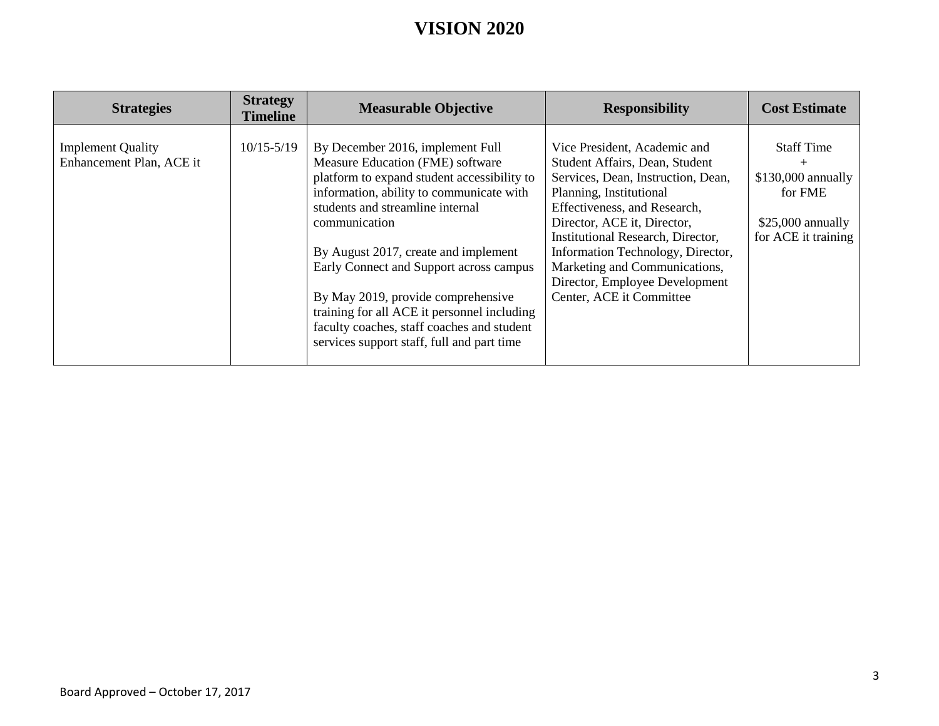| <b>Strategies</b>                                    | <b>Strategy</b><br><b>Timeline</b> | <b>Measurable Objective</b>                                                                                                                                                                                                                                                                                                                                                                                                                                                              | <b>Responsibility</b>                                                                                                                                                                                                                                                                                                                                                   | <b>Cost Estimate</b>                                                                                    |
|------------------------------------------------------|------------------------------------|------------------------------------------------------------------------------------------------------------------------------------------------------------------------------------------------------------------------------------------------------------------------------------------------------------------------------------------------------------------------------------------------------------------------------------------------------------------------------------------|-------------------------------------------------------------------------------------------------------------------------------------------------------------------------------------------------------------------------------------------------------------------------------------------------------------------------------------------------------------------------|---------------------------------------------------------------------------------------------------------|
| <b>Implement Quality</b><br>Enhancement Plan, ACE it | $10/15 - 5/19$                     | By December 2016, implement Full<br>Measure Education (FME) software<br>platform to expand student accessibility to<br>information, ability to communicate with<br>students and streamline internal<br>communication<br>By August 2017, create and implement<br>Early Connect and Support across campus<br>By May 2019, provide comprehensive<br>training for all ACE it personnel including<br>faculty coaches, staff coaches and student<br>services support staff, full and part time | Vice President, Academic and<br>Student Affairs, Dean, Student<br>Services, Dean, Instruction, Dean,<br>Planning, Institutional<br>Effectiveness, and Research,<br>Director, ACE it, Director,<br>Institutional Research, Director,<br>Information Technology, Director,<br>Marketing and Communications,<br>Director, Employee Development<br>Center, ACE it Committee | <b>Staff Time</b><br>$+$<br>$$130,000$ annually<br>for FME<br>$$25,000$ annually<br>for ACE it training |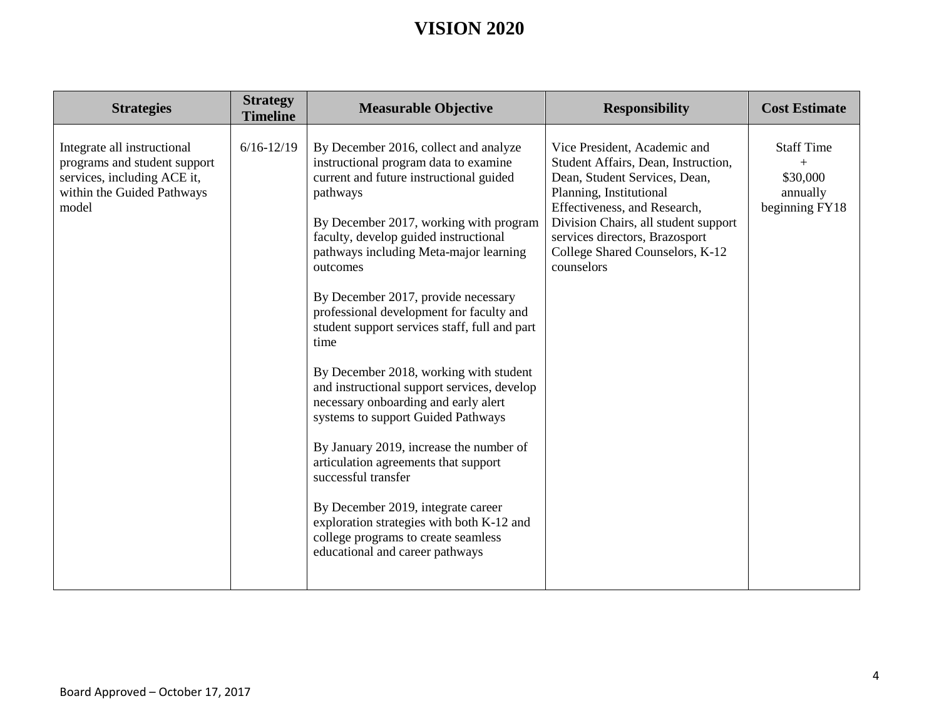| <b>Strategies</b>                                                                                                                 | <b>Strategy</b><br><b>Timeline</b> | <b>Measurable Objective</b>                                                                                                                                                                                                                                                                                                                                                                                                                                                                                                                                                                                                                                                                                                                                                                                                                                              | <b>Responsibility</b>                                                                                                                                                                                                                                                                      | <b>Cost Estimate</b>                                               |
|-----------------------------------------------------------------------------------------------------------------------------------|------------------------------------|--------------------------------------------------------------------------------------------------------------------------------------------------------------------------------------------------------------------------------------------------------------------------------------------------------------------------------------------------------------------------------------------------------------------------------------------------------------------------------------------------------------------------------------------------------------------------------------------------------------------------------------------------------------------------------------------------------------------------------------------------------------------------------------------------------------------------------------------------------------------------|--------------------------------------------------------------------------------------------------------------------------------------------------------------------------------------------------------------------------------------------------------------------------------------------|--------------------------------------------------------------------|
| Integrate all instructional<br>programs and student support<br>services, including ACE it,<br>within the Guided Pathways<br>model | $6/16 - 12/19$                     | By December 2016, collect and analyze<br>instructional program data to examine<br>current and future instructional guided<br>pathways<br>By December 2017, working with program<br>faculty, develop guided instructional<br>pathways including Meta-major learning<br>outcomes<br>By December 2017, provide necessary<br>professional development for faculty and<br>student support services staff, full and part<br>time<br>By December 2018, working with student<br>and instructional support services, develop<br>necessary onboarding and early alert<br>systems to support Guided Pathways<br>By January 2019, increase the number of<br>articulation agreements that support<br>successful transfer<br>By December 2019, integrate career<br>exploration strategies with both K-12 and<br>college programs to create seamless<br>educational and career pathways | Vice President, Academic and<br>Student Affairs, Dean, Instruction,<br>Dean, Student Services, Dean,<br>Planning, Institutional<br>Effectiveness, and Research,<br>Division Chairs, all student support<br>services directors, Brazosport<br>College Shared Counselors, K-12<br>counselors | <b>Staff Time</b><br>$+$<br>\$30,000<br>annually<br>beginning FY18 |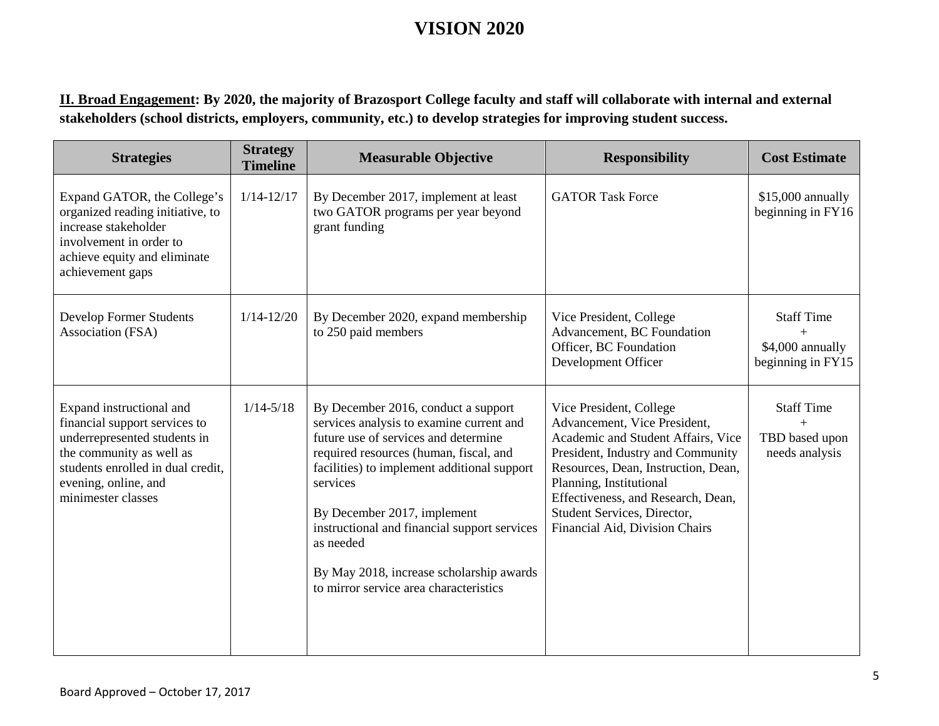**II. Broad Engagement: By 2020, the majority of Brazosport College faculty and staff will collaborate with internal and external stakeholders (school districts, employers, community, etc.) to develop strategies for improving student success.**

| <b>Strategies</b>                                                                                                                                                                                        | <b>Strategy</b><br><b>Timeline</b> | <b>Measurable Objective</b>                                                                                                                                                                                                                                                                                                                                                                                    | <b>Responsibility</b>                                                                                                                                                                                                                                                                                       | <b>Cost Estimate</b>                                       |
|----------------------------------------------------------------------------------------------------------------------------------------------------------------------------------------------------------|------------------------------------|----------------------------------------------------------------------------------------------------------------------------------------------------------------------------------------------------------------------------------------------------------------------------------------------------------------------------------------------------------------------------------------------------------------|-------------------------------------------------------------------------------------------------------------------------------------------------------------------------------------------------------------------------------------------------------------------------------------------------------------|------------------------------------------------------------|
| Expand GATOR, the College's<br>organized reading initiative, to<br>increase stakeholder<br>involvement in order to<br>achieve equity and eliminate<br>achievement gaps                                   | $1/14 - 12/17$                     | By December 2017, implement at least<br>two GATOR programs per year beyond<br>grant funding                                                                                                                                                                                                                                                                                                                    | <b>GATOR Task Force</b>                                                                                                                                                                                                                                                                                     | \$15,000 annually<br>beginning in FY16                     |
| Develop Former Students<br>Association (FSA)                                                                                                                                                             | $1/14 - 12/20$                     | By December 2020, expand membership<br>to 250 paid members                                                                                                                                                                                                                                                                                                                                                     | Vice President, College<br>Advancement, BC Foundation<br>Officer, BC Foundation<br>Development Officer                                                                                                                                                                                                      | <b>Staff Time</b><br>\$4,000 annually<br>beginning in FY15 |
| Expand instructional and<br>financial support services to<br>underrepresented students in<br>the community as well as<br>students enrolled in dual credit,<br>evening, online, and<br>minimester classes | $1/14 - 5/18$                      | By December 2016, conduct a support<br>services analysis to examine current and<br>future use of services and determine<br>required resources (human, fiscal, and<br>facilities) to implement additional support<br>services<br>By December 2017, implement<br>instructional and financial support services<br>as needed<br>By May 2018, increase scholarship awards<br>to mirror service area characteristics | Vice President, College<br>Advancement, Vice President,<br>Academic and Student Affairs, Vice<br>President, Industry and Community<br>Resources, Dean, Instruction, Dean,<br>Planning, Institutional<br>Effectiveness, and Research, Dean,<br>Student Services, Director,<br>Financial Aid, Division Chairs | <b>Staff Time</b><br>TBD based upon<br>needs analysis      |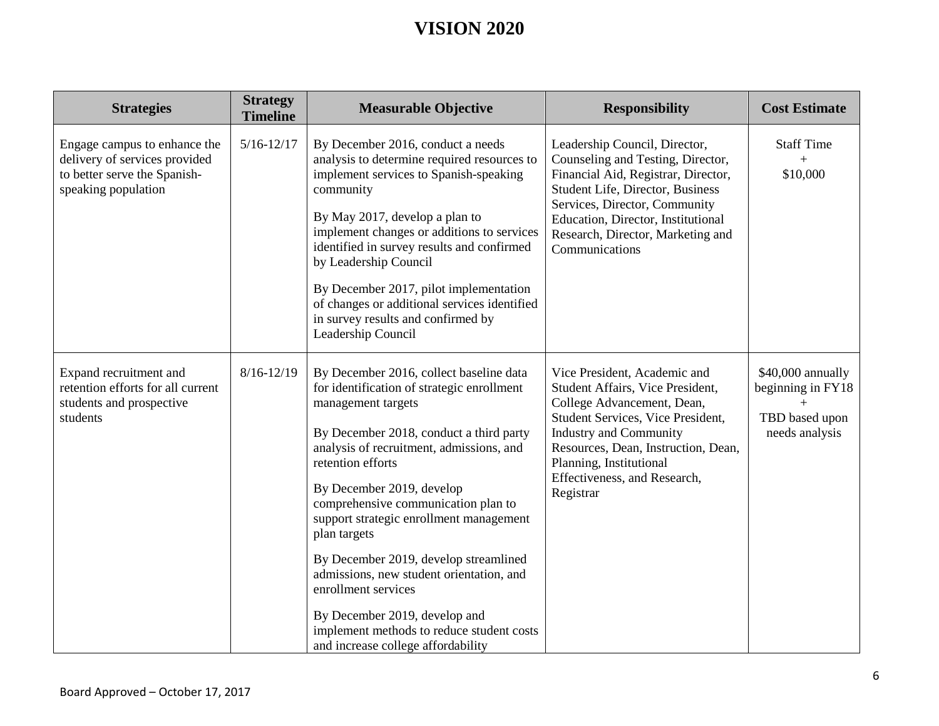| <b>Strategies</b>                                                                                                    | <b>Strategy</b><br><b>Timeline</b> | <b>Measurable Objective</b>                                                                                                                                                                                                                                                                                                                                                                                                                                                                                                                                                            | <b>Responsibility</b>                                                                                                                                                                                                                                                               | <b>Cost Estimate</b>                                                       |
|----------------------------------------------------------------------------------------------------------------------|------------------------------------|----------------------------------------------------------------------------------------------------------------------------------------------------------------------------------------------------------------------------------------------------------------------------------------------------------------------------------------------------------------------------------------------------------------------------------------------------------------------------------------------------------------------------------------------------------------------------------------|-------------------------------------------------------------------------------------------------------------------------------------------------------------------------------------------------------------------------------------------------------------------------------------|----------------------------------------------------------------------------|
| Engage campus to enhance the<br>delivery of services provided<br>to better serve the Spanish-<br>speaking population | $5/16 - 12/17$                     | By December 2016, conduct a needs<br>analysis to determine required resources to<br>implement services to Spanish-speaking<br>community<br>By May 2017, develop a plan to<br>implement changes or additions to services<br>identified in survey results and confirmed<br>by Leadership Council<br>By December 2017, pilot implementation<br>of changes or additional services identified<br>in survey results and confirmed by<br>Leadership Council                                                                                                                                   | Leadership Council, Director,<br>Counseling and Testing, Director,<br>Financial Aid, Registrar, Director,<br>Student Life, Director, Business<br>Services, Director, Community<br>Education, Director, Institutional<br>Research, Director, Marketing and<br>Communications         | <b>Staff Time</b><br>$+$<br>\$10,000                                       |
| Expand recruitment and<br>retention efforts for all current<br>students and prospective<br>students                  | $8/16 - 12/19$                     | By December 2016, collect baseline data<br>for identification of strategic enrollment<br>management targets<br>By December 2018, conduct a third party<br>analysis of recruitment, admissions, and<br>retention efforts<br>By December 2019, develop<br>comprehensive communication plan to<br>support strategic enrollment management<br>plan targets<br>By December 2019, develop streamlined<br>admissions, new student orientation, and<br>enrollment services<br>By December 2019, develop and<br>implement methods to reduce student costs<br>and increase college affordability | Vice President, Academic and<br>Student Affairs, Vice President,<br>College Advancement, Dean,<br>Student Services, Vice President,<br><b>Industry and Community</b><br>Resources, Dean, Instruction, Dean,<br>Planning, Institutional<br>Effectiveness, and Research,<br>Registrar | \$40,000 annually<br>beginning in FY18<br>TBD based upon<br>needs analysis |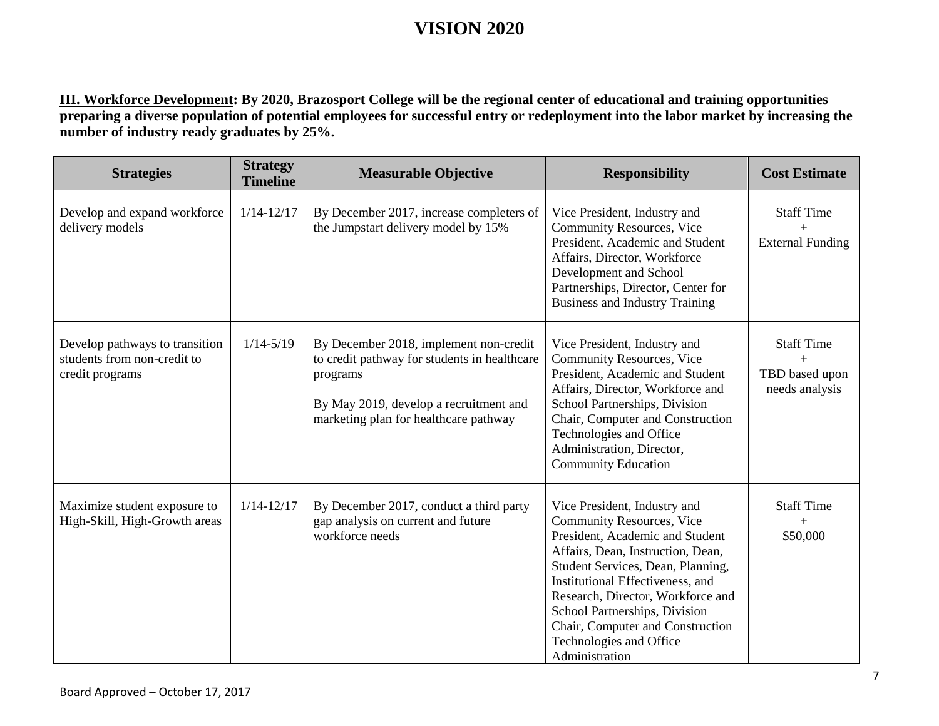**III. Workforce Development: By 2020, Brazosport College will be the regional center of educational and training opportunities preparing a diverse population of potential employees for successful entry or redeployment into the labor market by increasing the number of industry ready graduates by 25%.**

| <b>Strategies</b>                                                                | <b>Strategy</b><br><b>Timeline</b> | <b>Measurable Objective</b>                                                                                                                                                           | <b>Responsibility</b>                                                                                                                                                                                                                                                                                                                                                    | <b>Cost Estimate</b>                                         |
|----------------------------------------------------------------------------------|------------------------------------|---------------------------------------------------------------------------------------------------------------------------------------------------------------------------------------|--------------------------------------------------------------------------------------------------------------------------------------------------------------------------------------------------------------------------------------------------------------------------------------------------------------------------------------------------------------------------|--------------------------------------------------------------|
| Develop and expand workforce<br>delivery models                                  | $1/14 - 12/17$                     | By December 2017, increase completers of<br>the Jumpstart delivery model by 15%                                                                                                       | Vice President, Industry and<br><b>Community Resources, Vice</b><br>President, Academic and Student<br>Affairs, Director, Workforce<br>Development and School<br>Partnerships, Director, Center for<br><b>Business and Industry Training</b>                                                                                                                             | <b>Staff Time</b><br>$+$<br><b>External Funding</b>          |
| Develop pathways to transition<br>students from non-credit to<br>credit programs | $1/14 - 5/19$                      | By December 2018, implement non-credit<br>to credit pathway for students in healthcare<br>programs<br>By May 2019, develop a recruitment and<br>marketing plan for healthcare pathway | Vice President, Industry and<br><b>Community Resources, Vice</b><br>President, Academic and Student<br>Affairs, Director, Workforce and<br>School Partnerships, Division<br>Chair, Computer and Construction<br>Technologies and Office<br>Administration, Director,<br><b>Community Education</b>                                                                       | <b>Staff Time</b><br>$+$<br>TBD based upon<br>needs analysis |
| Maximize student exposure to<br>High-Skill, High-Growth areas                    | $1/14 - 12/17$                     | By December 2017, conduct a third party<br>gap analysis on current and future<br>workforce needs                                                                                      | Vice President, Industry and<br><b>Community Resources, Vice</b><br>President, Academic and Student<br>Affairs, Dean, Instruction, Dean,<br>Student Services, Dean, Planning,<br>Institutional Effectiveness, and<br>Research, Director, Workforce and<br>School Partnerships, Division<br>Chair, Computer and Construction<br>Technologies and Office<br>Administration | <b>Staff Time</b><br>$+$<br>\$50,000                         |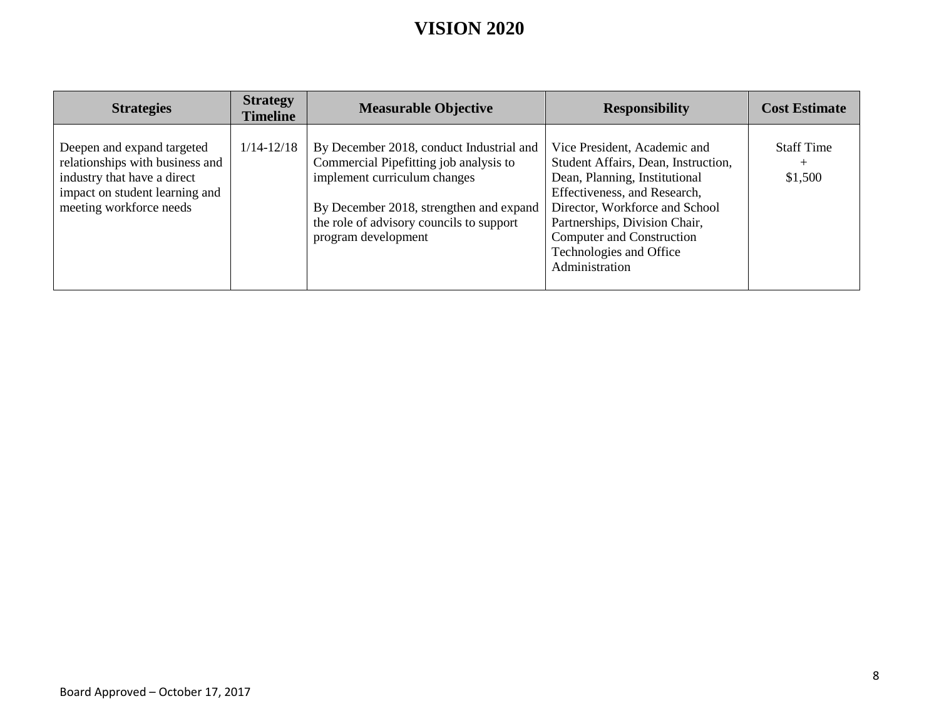| <b>Strategies</b>                                                                                                                                         | <b>Strategy</b><br><b>Timeline</b> | <b>Measurable Objective</b>                                                                                                                                                                                                      | <b>Responsibility</b>                                                                                                                                                                                                                                                             | <b>Cost Estimate</b>                   |
|-----------------------------------------------------------------------------------------------------------------------------------------------------------|------------------------------------|----------------------------------------------------------------------------------------------------------------------------------------------------------------------------------------------------------------------------------|-----------------------------------------------------------------------------------------------------------------------------------------------------------------------------------------------------------------------------------------------------------------------------------|----------------------------------------|
| Deepen and expand targeted<br>relationships with business and<br>industry that have a direct<br>impact on student learning and<br>meeting workforce needs | $1/14 - 12/18$                     | By December 2018, conduct Industrial and<br>Commercial Pipefitting job analysis to<br>implement curriculum changes<br>By December 2018, strengthen and expand<br>the role of advisory councils to support<br>program development | Vice President, Academic and<br>Student Affairs, Dean, Instruction,<br>Dean, Planning, Institutional<br>Effectiveness, and Research,<br>Director, Workforce and School<br>Partnerships, Division Chair,<br>Computer and Construction<br>Technologies and Office<br>Administration | <b>Staff Time</b><br>$^{+}$<br>\$1,500 |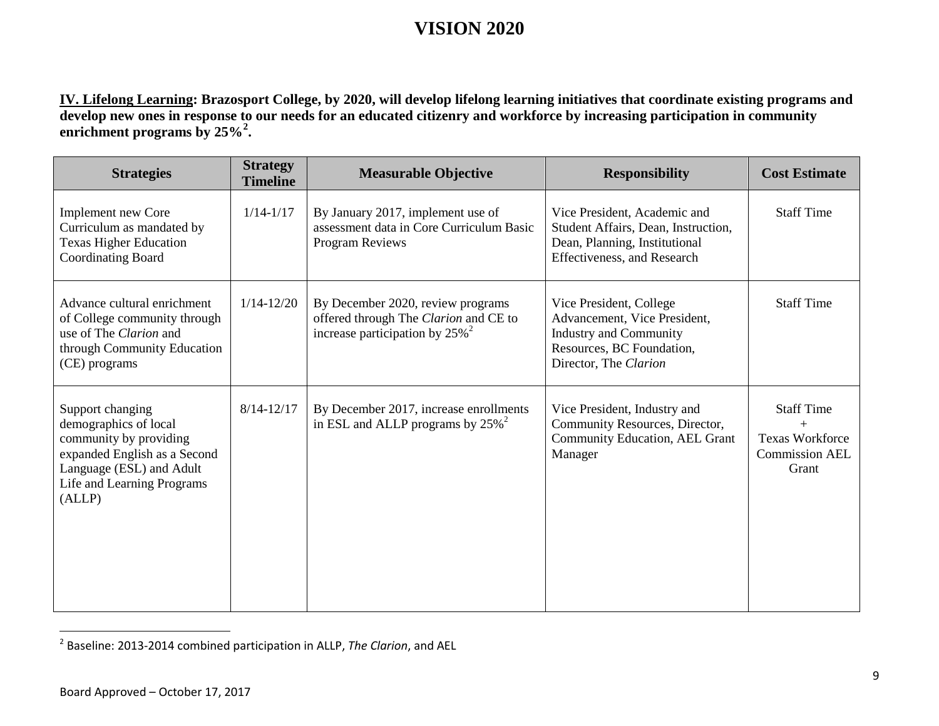<span id="page-8-0"></span>**IV. Lifelong Learning: Brazosport College, by 2020, will develop lifelong learning initiatives that coordinate existing programs and develop new ones in response to our needs for an educated citizenry and workforce by increasing participation in community enrichment programs by 25%[2](#page-8-0) .**

| <b>Strategies</b>                                                                                                                                                       | <b>Strategy</b><br><b>Timeline</b> | <b>Measurable Objective</b>                                                                                                 | <b>Responsibility</b>                                                                                                                          | <b>Cost Estimate</b>                                                          |
|-------------------------------------------------------------------------------------------------------------------------------------------------------------------------|------------------------------------|-----------------------------------------------------------------------------------------------------------------------------|------------------------------------------------------------------------------------------------------------------------------------------------|-------------------------------------------------------------------------------|
| <b>Implement new Core</b><br>Curriculum as mandated by<br><b>Texas Higher Education</b><br><b>Coordinating Board</b>                                                    | $1/14 - 1/17$                      | By January 2017, implement use of<br>assessment data in Core Curriculum Basic<br>Program Reviews                            | Vice President, Academic and<br>Student Affairs, Dean, Instruction,<br>Dean, Planning, Institutional<br><b>Effectiveness</b> , and Research    | <b>Staff Time</b>                                                             |
| Advance cultural enrichment<br>of College community through<br>use of The Clarion and<br>through Community Education<br>(CE) programs                                   | $1/14 - 12/20$                     | By December 2020, review programs<br>offered through The Clarion and CE to<br>increase participation by $25\%$ <sup>2</sup> | Vice President, College<br>Advancement, Vice President,<br><b>Industry and Community</b><br>Resources, BC Foundation,<br>Director, The Clarion | <b>Staff Time</b>                                                             |
| Support changing<br>demographics of local<br>community by providing<br>expanded English as a Second<br>Language (ESL) and Adult<br>Life and Learning Programs<br>(ALLP) | $8/14 - 12/17$                     | By December 2017, increase enrollments<br>in ESL and ALLP programs by $25\%$ <sup>2</sup>                                   | Vice President, Industry and<br>Community Resources, Director,<br>Community Education, AEL Grant<br>Manager                                    | <b>Staff Time</b><br><b>Texas Workforce</b><br><b>Commission AEL</b><br>Grant |

 <sup>2</sup> Baseline: 2013-2014 combined participation in ALLP, *The Clarion*, and AEL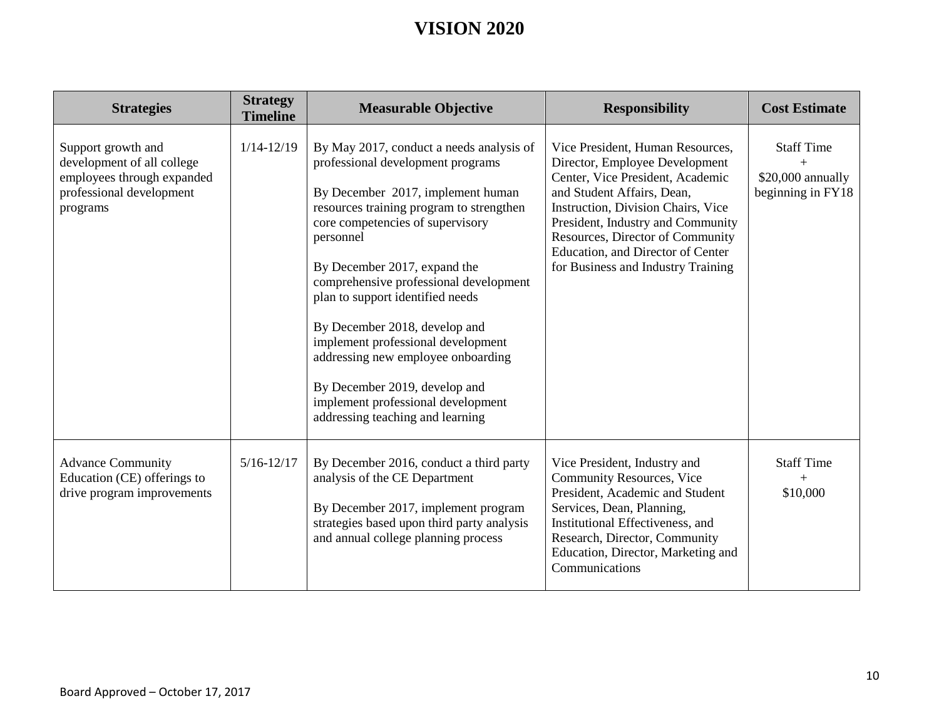| <b>Strategies</b>                                                                                                      | <b>Strategy</b><br><b>Timeline</b> | <b>Measurable Objective</b>                                                                                                                                                                                                                                                                                                                                                                                                                                                                                                                           | <b>Responsibility</b>                                                                                                                                                                                                                                                                                                          | <b>Cost Estimate</b>                                        |
|------------------------------------------------------------------------------------------------------------------------|------------------------------------|-------------------------------------------------------------------------------------------------------------------------------------------------------------------------------------------------------------------------------------------------------------------------------------------------------------------------------------------------------------------------------------------------------------------------------------------------------------------------------------------------------------------------------------------------------|--------------------------------------------------------------------------------------------------------------------------------------------------------------------------------------------------------------------------------------------------------------------------------------------------------------------------------|-------------------------------------------------------------|
| Support growth and<br>development of all college<br>employees through expanded<br>professional development<br>programs | $1/14 - 12/19$                     | By May 2017, conduct a needs analysis of<br>professional development programs<br>By December 2017, implement human<br>resources training program to strengthen<br>core competencies of supervisory<br>personnel<br>By December 2017, expand the<br>comprehensive professional development<br>plan to support identified needs<br>By December 2018, develop and<br>implement professional development<br>addressing new employee onboarding<br>By December 2019, develop and<br>implement professional development<br>addressing teaching and learning | Vice President, Human Resources,<br>Director, Employee Development<br>Center, Vice President, Academic<br>and Student Affairs, Dean,<br>Instruction, Division Chairs, Vice<br>President, Industry and Community<br>Resources, Director of Community<br>Education, and Director of Center<br>for Business and Industry Training | <b>Staff Time</b><br>\$20,000 annually<br>beginning in FY18 |
| <b>Advance Community</b><br>Education (CE) offerings to<br>drive program improvements                                  | $5/16 - 12/17$                     | By December 2016, conduct a third party<br>analysis of the CE Department<br>By December 2017, implement program<br>strategies based upon third party analysis<br>and annual college planning process                                                                                                                                                                                                                                                                                                                                                  | Vice President, Industry and<br><b>Community Resources, Vice</b><br>President, Academic and Student<br>Services, Dean, Planning,<br>Institutional Effectiveness, and<br>Research, Director, Community<br>Education, Director, Marketing and<br>Communications                                                                  | <b>Staff Time</b><br>\$10,000                               |